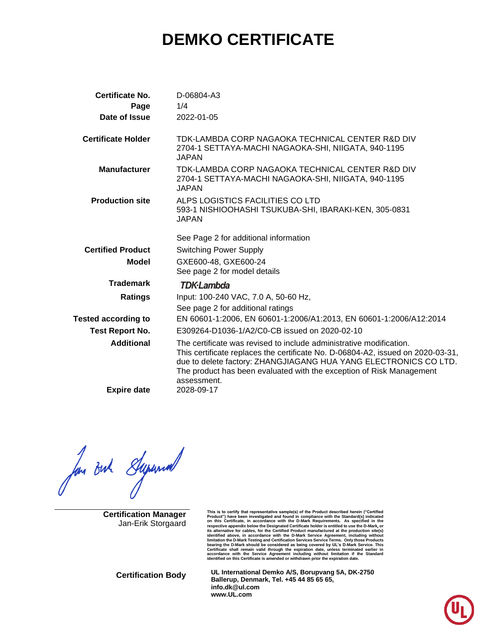# **DEMKO CERTIFICATE**

| <b>Certificate No.</b>     | D-06804-A3                                                                                                                                                                                                                                                                                                        |
|----------------------------|-------------------------------------------------------------------------------------------------------------------------------------------------------------------------------------------------------------------------------------------------------------------------------------------------------------------|
| Page                       | 1/4                                                                                                                                                                                                                                                                                                               |
| Date of Issue              | 2022-01-05                                                                                                                                                                                                                                                                                                        |
| <b>Certificate Holder</b>  | TDK-LAMBDA CORP NAGAOKA TECHNICAL CENTER R&D DIV<br>2704-1 SETTAYA-MACHI NAGAOKA-SHI, NIIGATA, 940-1195<br><b>JAPAN</b>                                                                                                                                                                                           |
| <b>Manufacturer</b>        | TDK-LAMBDA CORP NAGAOKA TECHNICAL CENTER R&D DIV<br>2704-1 SETTAYA-MACHI NAGAOKA-SHI, NIIGATA, 940-1195<br>JAPAN                                                                                                                                                                                                  |
| <b>Production site</b>     | ALPS LOGISTICS FACILITIES CO LTD<br>593-1 NISHIOOHASHI TSUKUBA-SHI, IBARAKI-KEN, 305-0831<br>JAPAN                                                                                                                                                                                                                |
|                            | See Page 2 for additional information                                                                                                                                                                                                                                                                             |
| <b>Certified Product</b>   | <b>Switching Power Supply</b>                                                                                                                                                                                                                                                                                     |
| <b>Model</b>               | GXE600-48, GXE600-24<br>See page 2 for model details                                                                                                                                                                                                                                                              |
| <b>Trademark</b>           | <b>TDK</b> ·Lambda                                                                                                                                                                                                                                                                                                |
| <b>Ratings</b>             | Input: 100-240 VAC, 7.0 A, 50-60 Hz,<br>See page 2 for additional ratings                                                                                                                                                                                                                                         |
| <b>Tested according to</b> | EN 60601-1:2006, EN 60601-1:2006/A1:2013, EN 60601-1:2006/A12:2014                                                                                                                                                                                                                                                |
| <b>Test Report No.</b>     | E309264-D1036-1/A2/C0-CB issued on 2020-02-10                                                                                                                                                                                                                                                                     |
| <b>Additional</b>          | The certificate was revised to include administrative modification.<br>This certificate replaces the certificate No. D-06804-A2, issued on 2020-03-31,<br>due to delete factory: ZHANGJIAGANG HUA YANG ELECTRONICS CO LTD.<br>The product has been evaluated with the exception of Risk Management<br>assessment. |
| <b>Expire date</b>         | 2028-09-17                                                                                                                                                                                                                                                                                                        |

for out Superior

**Certification Manager** Jan-Erik Storgaard

This is to certify that representative sample(s) of the Product described herein ("Certified<br>Product") have been investigated and found in compliance with the Standard(s) indicated<br>on this Certificate, in accordance with t respective appendix below the Designated Certificate holder is entitled to use the D-Mark, or<br>tis alternative for cables, for the Certified Product manufactured at the production site(s)<br>identified above, in accordance wit

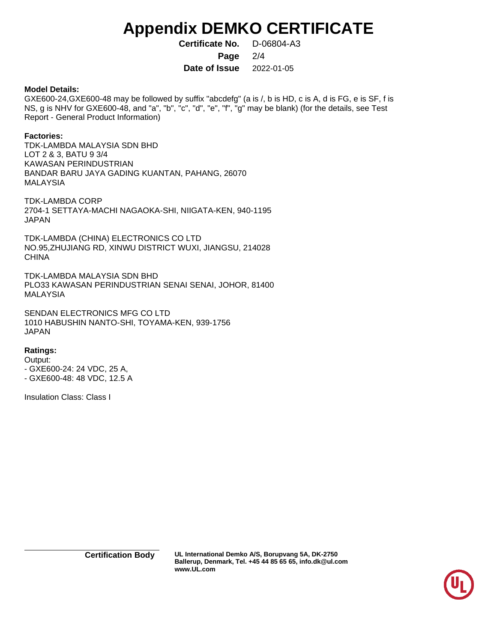# **Appendix DEMKO CERTIFICATE**

**Certificate No.** D-06804-A3

**Page** 2/4

**Date of Issue** 2022-01-05

### **Model Details:**

GXE600-24,GXE600-48 may be followed by suffix "abcdefg" (a is /, b is HD, c is A, d is FG, e is SF, f is NS, g is NHV for GXE600-48, and "a", "b", "c", "d", "e", "f", "g" may be blank) (for the details, see Test Report - General Product Information)

### **Factories:**

TDK-LAMBDA MALAYSIA SDN BHD LOT 2 & 3, BATU 9 3/4 KAWASAN PERINDUSTRIAN BANDAR BARU JAYA GADING KUANTAN, PAHANG, 26070 MALAYSIA

TDK-LAMBDA CORP 2704-1 SETTAYA-MACHI NAGAOKA-SHI, NIIGATA-KEN, 940-1195 JAPAN

TDK-LAMBDA (CHINA) ELECTRONICS CO LTD NO.95,ZHUJIANG RD, XINWU DISTRICT WUXI, JIANGSU, 214028 **CHINA** 

TDK-LAMBDA MALAYSIA SDN BHD PLO33 KAWASAN PERINDUSTRIAN SENAI SENAI, JOHOR, 81400 MALAYSIA

SENDAN ELECTRONICS MFG CO LTD 1010 HABUSHIN NANTO-SHI, TOYAMA-KEN, 939-1756 JAPAN

## **Ratings:**

Output: - GXE600-24: 24 VDC, 25 A, - GXE600-48: 48 VDC, 12.5 A

Insulation Class: Class I

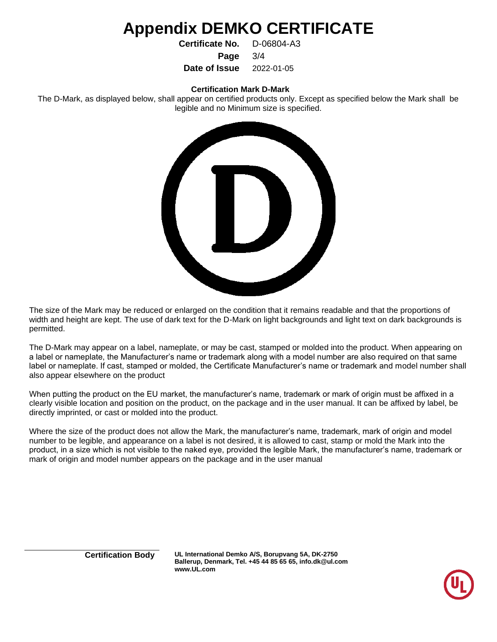## **Appendix DEMKO CERTIFICATE**

**Certificate No.** D-06804-A3

**Page** 3/4

**Date of Issue** 2022-01-05

#### **Certification Mark D-Mark**

The D-Mark, as displayed below, shall appear on certified products only. Except as specified below the Mark shall be legible and no Minimum size is specified.



The size of the Mark may be reduced or enlarged on the condition that it remains readable and that the proportions of width and height are kept. The use of dark text for the D-Mark on light backgrounds and light text on dark backgrounds is permitted.

The D-Mark may appear on a label, nameplate, or may be cast, stamped or molded into the product. When appearing on a label or nameplate, the Manufacturer's name or trademark along with a model number are also required on that same label or nameplate. If cast, stamped or molded, the Certificate Manufacturer's name or trademark and model number shall also appear elsewhere on the product

When putting the product on the EU market, the manufacturer's name, trademark or mark of origin must be affixed in a clearly visible location and position on the product, on the package and in the user manual. It can be affixed by label, be directly imprinted, or cast or molded into the product.

Where the size of the product does not allow the Mark, the manufacturer's name, trademark, mark of origin and model number to be legible, and appearance on a label is not desired, it is allowed to cast, stamp or mold the Mark into the product, in a size which is not visible to the naked eye, provided the legible Mark, the manufacturer's name, trademark or mark of origin and model number appears on the package and in the user manual